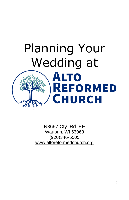

N3697 Cty. Rd. EE Waupun, WI 53963 (920)346-5505 [www.altoreformedchurch.org](http://www.altoreformedchurch.org/)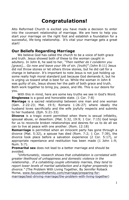# **Congratulations!**

Alto Reformed Church is excited you have made a decision to enter into the covenant relationship of marriage. We are here to help you start your marriage on the right foot and establish a foundation for a successful, life-long relationship. It's vital your marriage gets a great start!

### **Our Beliefs Regarding Marriage**

We believe God has called the church to be a voice of both grace and truth. Jesus showed both of these to the woman caught in adultery. In John 8, he said to her, *"Then neither do I condemn you [grace],.. Go now and leave your life of sin. [truth]" (*John 8:11) Jesus did not throw stones or let others throw stones, but he did call for a change in behavior. It's important to note Jesus is not just holding up some really high moral standard just because God demands it, but he is urging us toward what is best for us. While the woman in John 8 was guilty of sin, Jesus shows her the path of both grace and truth. Both work together to bring joy, peace, and life. This is our desire for you.

With this in mind, here are some key truths we see in God's Word. **Singleness** is a good and honorable state. (1 Cor. 7:8)

**Marriage** is a sacred relationship between one man and one woman (Gen. 2:22-23; Mat. 19:5; Romans 1:26-27) where ideally the husband loves sacrificially and the wife joyfully respects and submits to her husband. (Eph. 5:21-33)

**Divorce** is a tragic event permitted when there is sexual infidelity, spousal abuse, or desertion. (Mat. 5:32, 19:9; 1 Cor. 7:15) God longs for us to reconcile broken relationships and desires for us to do all we can to live at peace with one another. (Rom. 12:18)

**Remarriage** is permitted when an innocent party has gone through a divorce (Mat. 5:32), a spouse has died (Rom. 7:2; 1 Cor. 7:39), the divorce took place before a salvation experience (2 Cor. 5:17), or appropriate repentance and restitution has been made (1 John 1:9; Num. 5:7).

**Premarital sex** does not lead to a better marriage and should be avoided.

*"Unfortunately, research shows that cohabitation is correlated with greater likelihood of unhappiness and domestic violence in the relationship… If a cohabiting couple ultimately marries, they tend to report lower levels of marital satisfaction and a higher propensity to divorce."* (The Problem With Living Together, By Jennifer Roback Morse, [www.focusonthefamily.com/marriage/preparing-for](http://www.focusonthefamily.com/marriage/preparing-for-marriage/test-driving-marriage/the-problem-with-living-together)[marriage/test-driving-marriage/the-problem-with-living-together\)](http://www.focusonthefamily.com/marriage/preparing-for-marriage/test-driving-marriage/the-problem-with-living-together)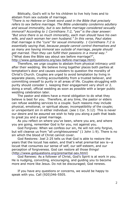Biblically, God's will is for his children to live holy lives and to abstain from sex outside of marriage.

*"There is no Hebrew or Greek word used in the Bible that precisely refers to sex before marriage. The Bible undeniably condemns adultery and sexual immorality, but is sex before marriage considered sexually immoral? According to 1 Corinthians 7:2, "yes" is the clear answer: "But since there is so much immorality, each man should have his own wife, and each woman her own husband." In this verse, Paul states that marriage is the "cure" for sexual immorality. 1 Corinthians 7:2 is essentially saying that, because people cannot control themselves and so many are having immoral sex outside of marriage, people should get married. Then they can fulfill their passions in a moral way."* ("What does the Bible say about sex before marriage?", [http://www.gotquestions.org/sex-before-marriage.html\)](http://www.gotquestions.org/sex-before-marriage.html)

Therefore, we urge couples to abstain from physical intimacy until after their wedding. We believe living together places both parties at temptation's door and causes outsiders to question the morality of Christ's Church. Couples are urged to avoid temptation by living in separate places, inviting accountability from a trusted believer, and committing oneself to purity in all areas of life. Couples struggling with purity should consider 1. keeping their engagement very short or 2. doing a small, official wedding as soon as possible with a larger public wedding celebration later.

The pastor and elders have a moral obligation to do what they believe is best for you. Therefore, at any time, the pastor or elders can refuse wedding services to a couple. Such reasons may include physical, emotional, or spiritual abuse; incompatibility of the couple; or unrepentant sin in either individual. (see 1 Cor. 5:12) This is never our desire and be assured we wish to help you along a path that leads to great joy and a great marriage.

As you reflect on where you've been, where you are, and where you are going, remember God is for you, not against you.

God Forgives: When we confess our sin, He will not only forgive, but will cleanse us from "all unrighteousness" ([1 John 1:9\)](http://biblia.com/bible/esv/1%20John%201.9). There is no sin which the blood of Christ cannot cover.

God Restores: [Joel 2:25](http://biblia.com/bible/esv/Joel%202.25) tells us that God is able to restore the years that the locust has eaten, and that's what premarital sex is—a locust that consumes our sense of self, our self-esteem, and our perception of forgiveness. God can restore all those things! [\(http://www.gotquestions.org/premarital-sex.html\)](http://www.gotquestions.org/premarital-sex.html)

God Renews: As a follower of Christ, God's Spirit is at work in you. He is nudging, convicting, encouraging, and guiding you to become more and more like Jesus. Do not be discouraged; God renews.

If you have any questions or concerns, we would be happy to speak with you. Call (920)346-5505.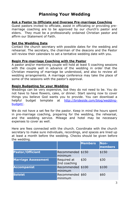## **Planning Your Wedding**

#### **Ask a Pastor to Officiate and Oversee Pre-marriage Coaching**

Guest pastors invited to officiate, assist in officiating or providing premarriage coaching are to be approved by our church's pastor and elders. They must be a professionally ordained Christian pastor and affirm our Statement of Faith.

#### **Set the Wedding Date**

Contact the church secretary with possible dates for the wedding and rehearsal. The secretary, the chairman of the deacons and the Pastor will review their calendars to set a tentative wedding date with you.

#### **Begin Pre-marriage Coaching with the Pastor**

A pastor and/or mentoring couple will hold at least 5 coaching sessions with the couple well in advance of the wedding in order that the Christian meaning of marriage be understood, and also to review all wedding arrangements. A marriage conference may take the place of some of the sessions with the pastor's approval.

#### **Begin Budgeting for your Wedding**

Weddings can be very expensive, but they do not need to be. You do not have to have flowers, cake, or dinner. Start saving now to cover things you believe God wants you to provide. You can download a helpful budget template at [http://brideside.com/blog/wedding](http://brideside.com/blog/wedding-budget/)[budget/.](http://brideside.com/blog/wedding-budget/)

We do not have a set fee for the pastor. Keep in mind the hours spent in pre-marriage coaching, preparing for the wedding, the rehearsal, and the wedding service. Mileage and hotel may be necessary expenses to cover as well.

Here are fees connected with the church. Coordinate with the church secretary to make sure individuals, recordings, and spaces are lined up at least a month before the wedding. Checks should be given before the wedding.

|                            |                              | <b>Members</b> | Non-<br>members |
|----------------------------|------------------------------|----------------|-----------------|
| <b>Pastor/Officiant</b>    | Recommended \$150<br>minimum |                | \$150           |
| <b>Marriage Assessment</b> | Required at<br>2nd coaching  | \$30           | \$30            |
| <b>Accompanist</b>         | Recommended \$100<br>minimum |                | \$100           |
| <b>Soloist</b>             | Recommended \$60<br>minimum  |                | \$60            |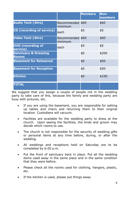|                                                 |                             | <b>Members</b> | Non-<br>members |
|-------------------------------------------------|-----------------------------|----------------|-----------------|
| <b>Audio Tech (4hrs)</b>                        | Recommended \$60<br>minimum |                | \$60            |
| <b>CD</b> (recording of service)                | each                        | \$5            | \$5             |
| <b>Video Tech (4hrs)</b>                        | Recommended \$60<br>minimum |                | \$60            |
| <b>DVD</b> (recording of<br>service)            | each                        | \$5            | \$5             |
| <b>Sanctuary &amp; Dressing</b><br><b>Rooms</b> |                             | \$0            | \$200           |
| <b>Basement for Rehearsal</b>                   |                             | \$0            | \$50            |
| <b>Basement for Reception</b>                   |                             | \$0            | \$50            |
| <b>Kitchen</b>                                  |                             | \$0            | \$100           |
| <b>TOTAL</b>                                    |                             |                |                 |

We suggest that you assign a couple of people not in the wedding party to take care of this, because the family and wedding party are busy with pictures, etc.

- If you are using the basement, you are responsible for setting up tables and chairs and returning them to their original location. Custodians will vacuum.
- Facilities are available for the wedding party to dress at the church. Upon seeing the facilities, the bride and groom may decide which rooms to use.
- The church is not responsible for the security of wedding gifts or personal items at any time before, during, or after the wedding.
- All weddings and receptions held on Saturday are to be completed by 6:00 p.m.
- Put the front of sanctuary back in place. Put all the wedding items used away in the same place and in the same condition that they were before.
- Please check all the rooms used for clothing, hangers, plastic, etc.
- If the kitchen is used, please put things away.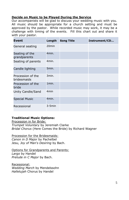#### **Decide on Music to be Played During the Service**

Our accompanists will be glad to discuss your wedding music with you. All music should be appropriate for a church setting and must be approved by the pastor. While recorded music may work, it may be a challenge with timing of the events. Fill this chart out and share it with your pastor.

| Event                            | Length            | <b>Song Title</b> | Instrument/CD |
|----------------------------------|-------------------|-------------------|---------------|
| General seating                  | 20 <sub>min</sub> |                   |               |
| Seating of the<br>grandparents   | 4min.             |                   |               |
| Seating of parents               | 4min.             |                   |               |
| Candle lighting                  | 5min.             |                   |               |
| Procession of the<br>bridesmaids | 3min.             |                   |               |
| Procession of the<br>bride       | 1min.             |                   |               |
| Unity Candle/Sand                | 4 <sub>min</sub>  |                   |               |
| <b>Special Music</b>             | 4min.             |                   |               |
| Recessional                      | $3-5$ min         |                   |               |

#### **Traditional Music Options:**

Procession in for Bride: *Trumpet Voluntary* by Jeremiah Clarke *Bridal Chorus* (Here Comes the Bride) by Richard Wagner

Procession for the Bridesmaids: *Canon in D Major* by Pachelbel *Jesu, Joy of Man's Desiring* by Bach.

Options for Grandparents and Parents: *Largo* by Handel *Prelude in C Major* by Bach.

Recessional: *Wedding March* by Mendelssohn *Hallelujah* Chorus by Handel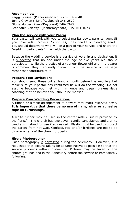#### **Accompanists**:

Peggy Bresser (Piano/Keyboard) 920-382-9648 Jenny Glewen (Piano/Keyboard) 346-2579 Gloria Mulder (Piano/Keyboard) 346-5343 Stephanie Van Wyk (Piano/Keyboard) 319-464-4673

#### **Plan the service with your Pastor**

Your pastor will work with you to select marital vows, parental vows (if you have kids), prayers, Scriptures, unity candle or blending sand… You should determine who will be a part of your service and share the "wedding participants" chart with the pastor.

Because the wedding service is a service of worship and dedication, it is suggested that no one under the age of five years old should participate. While the practice of a younger flower girl and ring-bearer is common, they frequently distract from the service of marriage rather that contribute to it.

#### **Prepare Your Invitations**

You should send these out at least a month before the wedding, but make sure your pastor has confirmed he will do the wedding. Do not assume because you met with him once and began pre-marriage coaching that he believes you should be married.

#### **Prepare Your Wedding Decorations**

A ribbon or simple arrangement of flowers may mark reserved pews. **It is imperative that there be no use of nails, wire, or adhesive tape on furnishings.**

A white runner may be used in the center aisle (usually provided by the florist). The church has two seven-candle candelabras and a unity candle with stand for use if so desired. Plastic must be used to protect the carpet from hot wax. Confetti, rice and/or birdseed are not to be thrown on any of the church property.

#### **Hire a Photographer**

Flash photography is permitted during the ceremony. However, it is requested that picture-taking be as unobtrusive as possible so that the service proceeds without distraction. Pictures may be taken on the church grounds and in the Sanctuary before the service or immediately following.